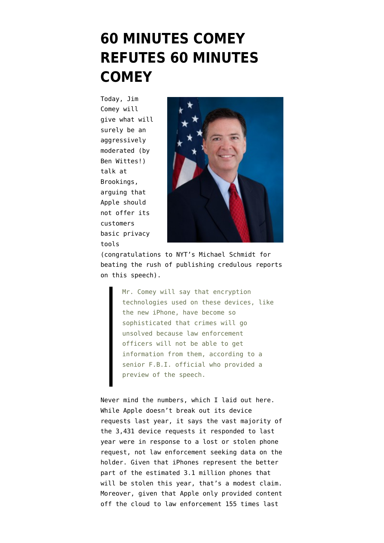## **[60 MINUTES COMEY](https://www.emptywheel.net/2014/10/16/60-minutes-comey-refutes-60-minutes-comey/) [REFUTES 60 MINUTES](https://www.emptywheel.net/2014/10/16/60-minutes-comey-refutes-60-minutes-comey/) [COMEY](https://www.emptywheel.net/2014/10/16/60-minutes-comey-refutes-60-minutes-comey/)**

Today, Jim Comey [will](http://www.nytimes.com/2014/10/17/us/politics/fbi-director-in-policy-speech-calls-dark-devices-hindrance-to-crime-solving.html?_r=0) [give](http://www.nytimes.com/2014/10/17/us/politics/fbi-director-in-policy-speech-calls-dark-devices-hindrance-to-crime-solving.html?_r=0) what will surely be an aggressively moderated (by Ben Wittes!) talk at Brookings, arguing that Apple should not offer its customers basic privacy tools



(congratulations to NYT's Michael Schmidt for beating the rush of publishing credulous reports on this speech).

> Mr. Comey will say that encryption technologies used on these devices, like the new iPhone, have become so sophisticated that crimes will go unsolved because law enforcement officers will not be able to get information from them, according to a senior F.B.I. official who provided a preview of the speech.

Never mind the numbers, which I [laid out here](http://www.salon.com/2014/10/06/americas_huge_iphone_lie_why_law_enforcement_really_hates_its_new_policy/). While Apple [doesn't break out](http://images.apple.com/privacy/docs/government-information-requests-20140630.pdf) its device requests last year, it says the vast majority of the 3,431 device requests it responded to last year were in response to a lost or stolen phone request, not law enforcement seeking data on the holder. Given that iPhones represent the better part of the estimated [3.1 million phones](http://www.consumerreports.org/cro/news/2014/04/smart-phone-thefts-rose-to-3-1-million-last-year/index.htm) that will be stolen this year, that's a modest claim. Moreover, given that Apple only provided content off the cloud to law enforcement 155 times last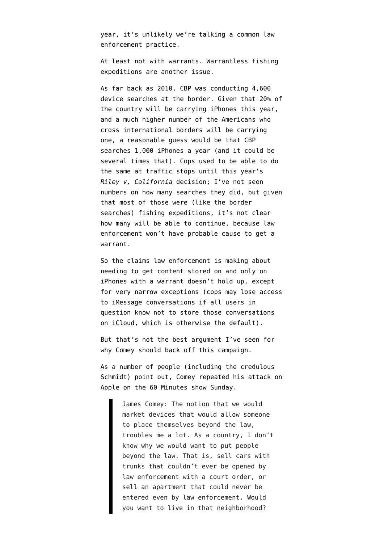year, it's unlikely we're talking a common law enforcement practice.

At least not with warrants. Warrantless fishing expeditions are another issue.

As far back as 2010, CBP was conducting [4,600](http://www.dhs.gov/sites/default/files/publications/Redacted%20Report.pdf) [device searches](http://www.dhs.gov/sites/default/files/publications/Redacted%20Report.pdf) at the border. Given that 20% of the country will be carrying iPhones this year, and a much higher number of the Americans who cross international borders will be carrying one, a reasonable guess would be that CBP searches 1,000 iPhones a year (and it could be several times that). Cops used to be able to do the same at traffic stops until this year's *Riley v, California* decision; I've not seen numbers on how many searches they did, but given that most of those were (like the border searches) fishing expeditions, it's not clear how many will be able to continue, because law enforcement won't have probable cause to get a warrant.

So the claims law enforcement is making about needing to get content stored on and only on iPhones with a warrant doesn't hold up, except for very narrow exceptions (cops may lose access to iMessage conversations if all users in question know not to store those conversations on iCloud, which is otherwise the default).

But that's not the best argument I've seen for why Comey should back off this campaign.

As a number of people (including the credulous Schmidt) point out, Comey repeated his attack on Apple on the [60 Minutes show Sunday](http://www.cbsnews.com/news/fbi-director-james-comey-on-privacy-and-surveillance/).

> James Comey: The notion that we would market devices that would allow someone to place themselves beyond the law, troubles me a lot. As a country, I don't know why we would want to put people beyond the law. That is, sell cars with trunks that couldn't ever be opened by law enforcement with a court order, or sell an apartment that could never be entered even by law enforcement. Would you want to live in that neighborhood?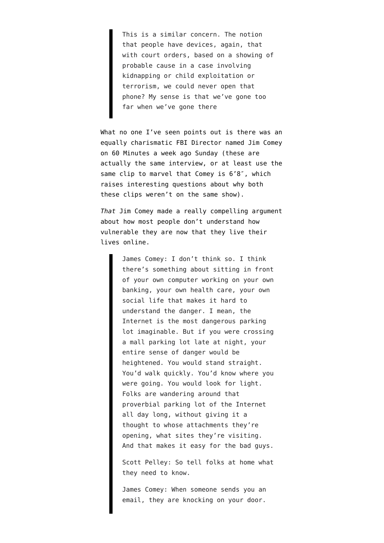This is a similar concern. The notion that people have devices, again, that with court orders, based on a showing of probable cause in a case involving kidnapping or child exploitation or terrorism, we could never open that phone? My sense is that we've gone too far when we've gone there

What no one I've seen points out is there was an equally charismatic FBI Director named Jim Comey on [60 Minutes a week ago Sunday](http://www.cbsnews.com/news/fbi-director-james-comey-on-threat-of-isis-cybercrime/) (these are actually the same interview, or at least use the same clip to marvel that Comey is 6'8″, which raises interesting questions about why both these clips weren't on the same show).

*That* Jim Comey made a really compelling argument about how most people don't understand how vulnerable they are now that they live their lives online.

> James Comey: I don't think so. I think there's something about sitting in front of your own computer working on your own banking, your own health care, your own social life that makes it hard to understand the danger. I mean, the Internet is the most dangerous parking lot imaginable. But if you were crossing a mall parking lot late at night, your entire sense of danger would be heightened. You would stand straight. You'd walk quickly. You'd know where you were going. You would look for light. Folks are wandering around that proverbial parking lot of the Internet all day long, without giving it a thought to whose attachments they're opening, what sites they're visiting. And that makes it easy for the bad guys.

Scott Pelley: So tell folks at home what they need to know.

James Comey: When someone sends you an email, they are knocking on your door.